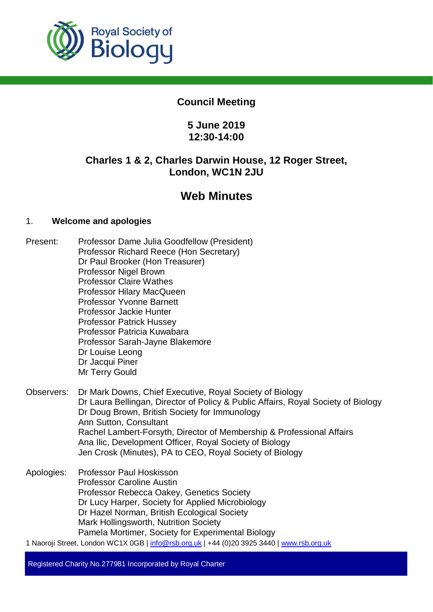

# **Council Meeting**

# **5 June 2019 12:30-14:00**

# **Charles 1 & 2, Charles Darwin House, 12 Roger Street, London, WC1N 2JU**

# **Web Minutes**

# 1. **Welcome and apologies**

- Present: Professor Dame Julia Goodfellow (President) Professor Richard Reece (Hon Secretary) Dr Paul Brooker (Hon Treasurer) Professor Nigel Brown Professor Claire Wathes Professor Hilary MacQueen Professor Yvonne Barnett Professor Jackie Hunter Professor Patrick Hussey Professor Patricia Kuwabara Professor Sarah-Jayne Blakemore Dr Louise Leong Dr Jacqui Piner Mr Terry Gould
- Observers: Dr Mark Downs, Chief Executive, Royal Society of Biology Dr Laura Bellingan, Director of Policy & Public Affairs, Royal Society of Biology Dr Doug Brown, British Society for Immunology Ann Sutton, Consultant Rachel Lambert-Forsyth, Director of Membership & Professional Affairs Ana Ilic, Development Officer, Royal Society of Biology Jen Crosk (Minutes), PA to CEO, Royal Society of Biology
- Apologies: Professor Paul Hoskisson Professor Caroline Austin Professor Rebecca Oakey, Genetics Society Dr Lucy Harper, Society for Applied Microbiology Dr Hazel Norman, British Ecological Society Mark Hollingsworth, Nutrition Society Pamela Mortimer, Society for Experimental Biology
- 1 Naoroji Street, London WC1X 0GB | info@rsb.org.uk | +44 (0)20 3925 3440 | www.rsb.org.uk

Registered Charity No.277981 Incorporated by Royal Charter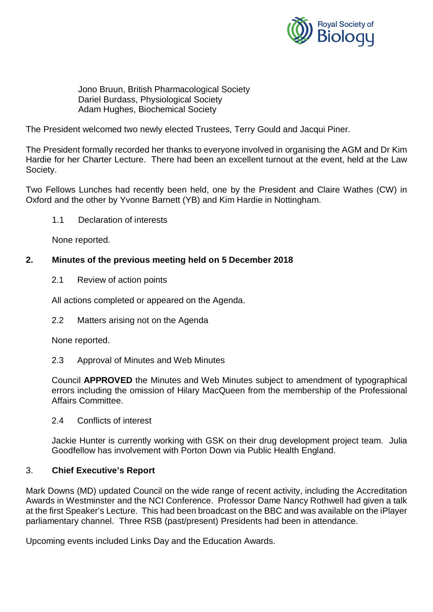

Jono Bruun, British Pharmacological Society Dariel Burdass, Physiological Society Adam Hughes, Biochemical Society

The President welcomed two newly elected Trustees, Terry Gould and Jacqui Piner.

The President formally recorded her thanks to everyone involved in organising the AGM and Dr Kim Hardie for her Charter Lecture. There had been an excellent turnout at the event, held at the Law Society.

Two Fellows Lunches had recently been held, one by the President and Claire Wathes (CW) in Oxford and the other by Yvonne Barnett (YB) and Kim Hardie in Nottingham.

1.1 Declaration of interests

None reported.

#### **2. Minutes of the previous meeting held on 5 December 2018**

2.1 Review of action points

All actions completed or appeared on the Agenda.

2.2 Matters arising not on the Agenda

None reported.

2.3 Approval of Minutes and Web Minutes

Council **APPROVED** the Minutes and Web Minutes subject to amendment of typographical errors including the omission of Hilary MacQueen from the membership of the Professional Affairs Committee.

2.4 Conflicts of interest

Jackie Hunter is currently working with GSK on their drug development project team. Julia Goodfellow has involvement with Porton Down via Public Health England.

#### 3. **Chief Executive's Report**

Mark Downs (MD) updated Council on the wide range of recent activity, including the Accreditation Awards in Westminster and the NCI Conference. Professor Dame Nancy Rothwell had given a talk at the first Speaker's Lecture. This had been broadcast on the BBC and was available on the iPlayer parliamentary channel. Three RSB (past/present) Presidents had been in attendance.

Upcoming events included Links Day and the Education Awards.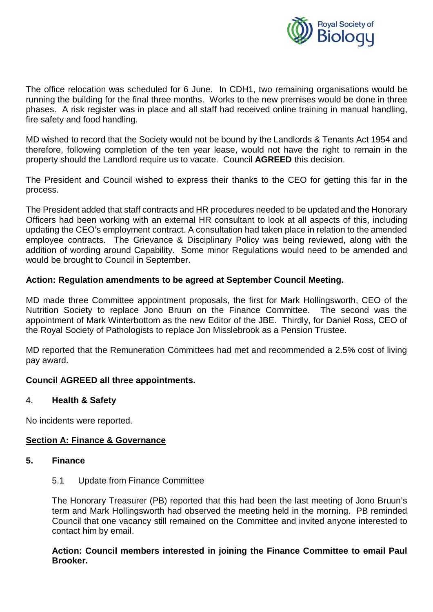

The office relocation was scheduled for 6 June. In CDH1, two remaining organisations would be running the building for the final three months. Works to the new premises would be done in three phases. A risk register was in place and all staff had received online training in manual handling, fire safety and food handling.

MD wished to record that the Society would not be bound by the Landlords & Tenants Act 1954 and therefore, following completion of the ten year lease, would not have the right to remain in the property should the Landlord require us to vacate. Council **AGREED** this decision.

The President and Council wished to express their thanks to the CEO for getting this far in the process.

The President added that staff contracts and HR procedures needed to be updated and the Honorary Officers had been working with an external HR consultant to look at all aspects of this, including updating the CEO's employment contract. A consultation had taken place in relation to the amended employee contracts. The Grievance & Disciplinary Policy was being reviewed, along with the addition of wording around Capability. Some minor Regulations would need to be amended and would be brought to Council in September.

# **Action: Regulation amendments to be agreed at September Council Meeting.**

MD made three Committee appointment proposals, the first for Mark Hollingsworth, CEO of the Nutrition Society to replace Jono Bruun on the Finance Committee. The second was the appointment of Mark Winterbottom as the new Editor of the JBE. Thirdly, for Daniel Ross, CEO of the Royal Society of Pathologists to replace Jon Misslebrook as a Pension Trustee.

MD reported that the Remuneration Committees had met and recommended a 2.5% cost of living pay award.

#### **Council AGREED all three appointments.**

#### 4. **Health & Safety**

No incidents were reported.

#### **Section A: Finance & Governance**

#### **5. Finance**

5.1 Update from Finance Committee

The Honorary Treasurer (PB) reported that this had been the last meeting of Jono Bruun's term and Mark Hollingsworth had observed the meeting held in the morning. PB reminded Council that one vacancy still remained on the Committee and invited anyone interested to contact him by email.

#### **Action: Council members interested in joining the Finance Committee to email Paul Brooker.**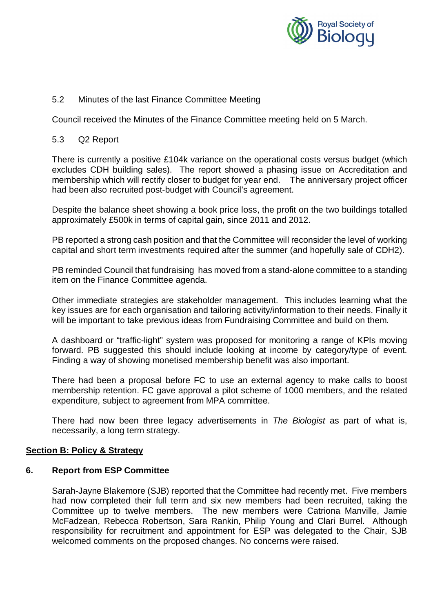

# 5.2 Minutes of the last Finance Committee Meeting

Council received the Minutes of the Finance Committee meeting held on 5 March.

#### 5.3 Q2 Report

There is currently a positive £104k variance on the operational costs versus budget (which excludes CDH building sales). The report showed a phasing issue on Accreditation and membership which will rectify closer to budget for year end. The anniversary project officer had been also recruited post-budget with Council's agreement.

Despite the balance sheet showing a book price loss, the profit on the two buildings totalled approximately £500k in terms of capital gain, since 2011 and 2012.

PB reported a strong cash position and that the Committee will reconsider the level of working capital and short term investments required after the summer (and hopefully sale of CDH2).

PB reminded Council that fundraising has moved from a stand-alone committee to a standing item on the Finance Committee agenda.

Other immediate strategies are stakeholder management. This includes learning what the key issues are for each organisation and tailoring activity/information to their needs. Finally it will be important to take previous ideas from Fundraising Committee and build on them.

A dashboard or "traffic-light" system was proposed for monitoring a range of KPIs moving forward. PB suggested this should include looking at income by category/type of event. Finding a way of showing monetised membership benefit was also important.

There had been a proposal before FC to use an external agency to make calls to boost membership retention. FC gave approval a pilot scheme of 1000 members, and the related expenditure, subject to agreement from MPA committee.

There had now been three legacy advertisements in *The Biologist* as part of what is, necessarily, a long term strategy.

#### **Section B: Policy & Strategy**

#### **6. Report from ESP Committee**

Sarah-Jayne Blakemore (SJB) reported that the Committee had recently met. Five members had now completed their full term and six new members had been recruited, taking the Committee up to twelve members. The new members were Catriona Manville, Jamie McFadzean, Rebecca Robertson, Sara Rankin, Philip Young and Clari Burrel. Although responsibility for recruitment and appointment for ESP was delegated to the Chair, SJB welcomed comments on the proposed changes. No concerns were raised.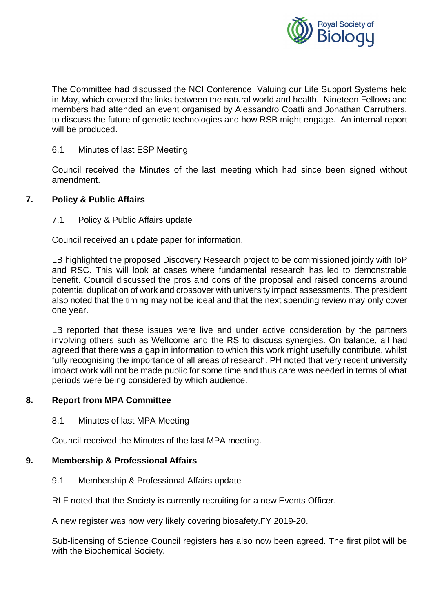

The Committee had discussed the NCI Conference, Valuing our Life Support Systems held in May, which covered the links between the natural world and health. Nineteen Fellows and members had attended an event organised by Alessandro Coatti and Jonathan Carruthers, to discuss the future of genetic technologies and how RSB might engage. An internal report will be produced.

#### 6.1 Minutes of last ESP Meeting

Council received the Minutes of the last meeting which had since been signed without amendment.

# **7. Policy & Public Affairs**

# 7.1 Policy & Public Affairs update

Council received an update paper for information.

LB highlighted the proposed Discovery Research project to be commissioned jointly with IoP and RSC. This will look at cases where fundamental research has led to demonstrable benefit. Council discussed the pros and cons of the proposal and raised concerns around potential duplication of work and crossover with university impact assessments. The president also noted that the timing may not be ideal and that the next spending review may only cover one year.

LB reported that these issues were live and under active consideration by the partners involving others such as Wellcome and the RS to discuss synergies. On balance, all had agreed that there was a gap in information to which this work might usefully contribute, whilst fully recognising the importance of all areas of research. PH noted that very recent university impact work will not be made public for some time and thus care was needed in terms of what periods were being considered by which audience.

#### **8. Report from MPA Committee**

8.1 Minutes of last MPA Meeting

Council received the Minutes of the last MPA meeting.

#### **9. Membership & Professional Affairs**

9.1 Membership & Professional Affairs update

RLF noted that the Society is currently recruiting for a new Events Officer.

A new register was now very likely covering biosafety.FY 2019-20.

Sub-licensing of Science Council registers has also now been agreed. The first pilot will be with the Biochemical Society.